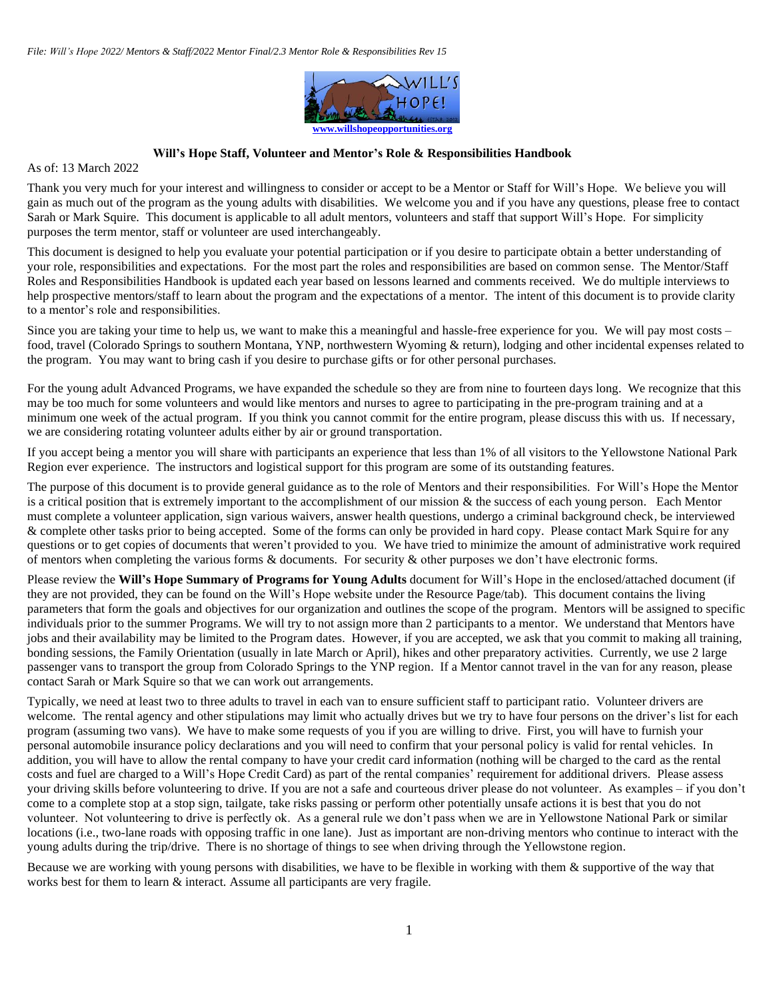

## **Will's Hope Staff, Volunteer and Mentor's Role & Responsibilities Handbook**

As of: 13 March 2022

Thank you very much for your interest and willingness to consider or accept to be a Mentor or Staff for Will's Hope. We believe you will gain as much out of the program as the young adults with disabilities. We welcome you and if you have any questions, please free to contact Sarah or Mark Squire. This document is applicable to all adult mentors, volunteers and staff that support Will's Hope. For simplicity purposes the term mentor, staff or volunteer are used interchangeably.

This document is designed to help you evaluate your potential participation or if you desire to participate obtain a better understanding of your role, responsibilities and expectations. For the most part the roles and responsibilities are based on common sense. The Mentor/Staff Roles and Responsibilities Handbook is updated each year based on lessons learned and comments received. We do multiple interviews to help prospective mentors/staff to learn about the program and the expectations of a mentor. The intent of this document is to provide clarity to a mentor's role and responsibilities.

Since you are taking your time to help us, we want to make this a meaningful and hassle-free experience for you. We will pay most costs – food, travel (Colorado Springs to southern Montana, YNP, northwestern Wyoming & return), lodging and other incidental expenses related to the program. You may want to bring cash if you desire to purchase gifts or for other personal purchases.

For the young adult Advanced Programs, we have expanded the schedule so they are from nine to fourteen days long. We recognize that this may be too much for some volunteers and would like mentors and nurses to agree to participating in the pre-program training and at a minimum one week of the actual program. If you think you cannot commit for the entire program, please discuss this with us. If necessary, we are considering rotating volunteer adults either by air or ground transportation.

If you accept being a mentor you will share with participants an experience that less than 1% of all visitors to the Yellowstone National Park Region ever experience. The instructors and logistical support for this program are some of its outstanding features.

The purpose of this document is to provide general guidance as to the role of Mentors and their responsibilities. For Will's Hope the Mentor is a critical position that is extremely important to the accomplishment of our mission & the success of each young person. Each Mentor must complete a volunteer application, sign various waivers, answer health questions, undergo a criminal background check, be interviewed & complete other tasks prior to being accepted. Some of the forms can only be provided in hard copy. Please contact Mark Squire for any questions or to get copies of documents that weren't provided to you. We have tried to minimize the amount of administrative work required of mentors when completing the various forms & documents. For security & other purposes we don't have electronic forms.

Please review the **Will's Hope Summary of Programs for Young Adults** document for Will's Hope in the enclosed/attached document (if they are not provided, they can be found on the Will's Hope website under the Resource Page/tab). This document contains the living parameters that form the goals and objectives for our organization and outlines the scope of the program. Mentors will be assigned to specific individuals prior to the summer Programs. We will try to not assign more than 2 participants to a mentor. We understand that Mentors have jobs and their availability may be limited to the Program dates. However, if you are accepted, we ask that you commit to making all training, bonding sessions, the Family Orientation (usually in late March or April), hikes and other preparatory activities. Currently, we use 2 large passenger vans to transport the group from Colorado Springs to the YNP region. If a Mentor cannot travel in the van for any reason, please contact Sarah or Mark Squire so that we can work out arrangements.

Typically, we need at least two to three adults to travel in each van to ensure sufficient staff to participant ratio. Volunteer drivers are welcome. The rental agency and other stipulations may limit who actually drives but we try to have four persons on the driver's list for each program (assuming two vans). We have to make some requests of you if you are willing to drive. First, you will have to furnish your personal automobile insurance policy declarations and you will need to confirm that your personal policy is valid for rental vehicles. In addition, you will have to allow the rental company to have your credit card information (nothing will be charged to the card as the rental costs and fuel are charged to a Will's Hope Credit Card) as part of the rental companies' requirement for additional drivers. Please assess your driving skills before volunteering to drive. If you are not a safe and courteous driver please do not volunteer. As examples – if you don't come to a complete stop at a stop sign, tailgate, take risks passing or perform other potentially unsafe actions it is best that you do not volunteer. Not volunteering to drive is perfectly ok. As a general rule we don't pass when we are in Yellowstone National Park or similar locations (i.e., two-lane roads with opposing traffic in one lane). Just as important are non-driving mentors who continue to interact with the young adults during the trip/drive. There is no shortage of things to see when driving through the Yellowstone region.

Because we are working with young persons with disabilities, we have to be flexible in working with them & supportive of the way that works best for them to learn & interact. Assume all participants are very fragile.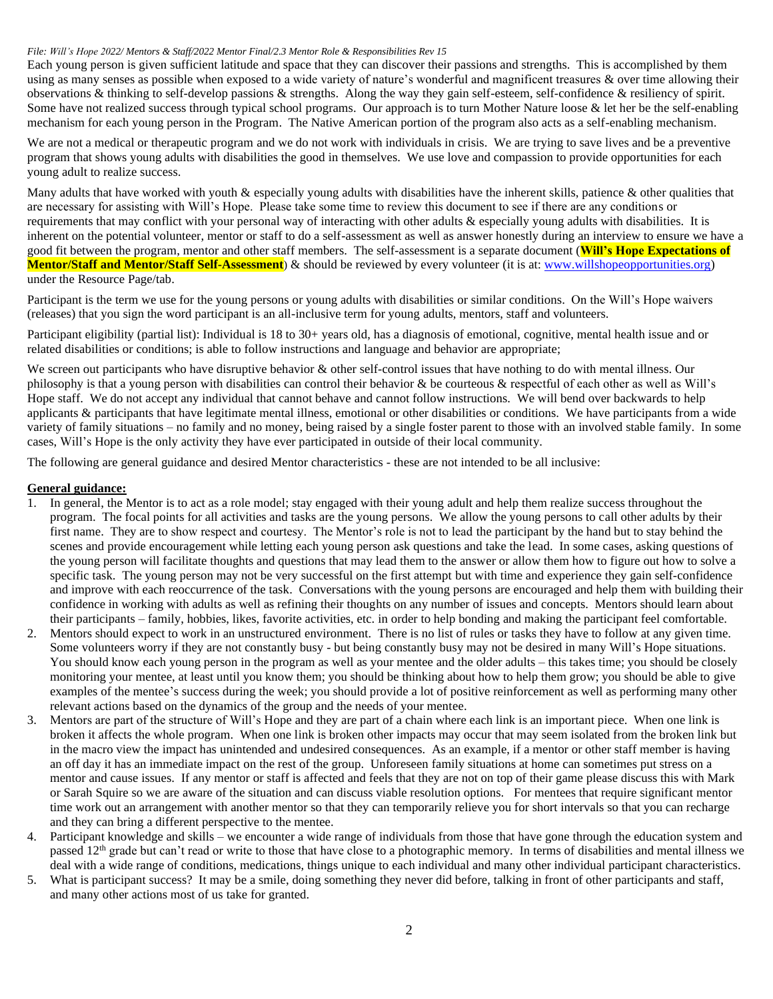Each young person is given sufficient latitude and space that they can discover their passions and strengths. This is accomplished by them using as many senses as possible when exposed to a wide variety of nature's wonderful and magnificent treasures & over time allowing their observations & thinking to self-develop passions & strengths. Along the way they gain self-esteem, self-confidence & resiliency of spirit. Some have not realized success through typical school programs. Our approach is to turn Mother Nature loose & let her be the self-enabling mechanism for each young person in the Program. The Native American portion of the program also acts as a self-enabling mechanism.

We are not a medical or therapeutic program and we do not work with individuals in crisis. We are trying to save lives and be a preventive program that shows young adults with disabilities the good in themselves. We use love and compassion to provide opportunities for each young adult to realize success.

Many adults that have worked with youth & especially young adults with disabilities have the inherent skills, patience & other qualities that are necessary for assisting with Will's Hope. Please take some time to review this document to see if there are any conditions or requirements that may conflict with your personal way of interacting with other adults & especially young adults with disabilities. It is inherent on the potential volunteer, mentor or staff to do a self-assessment as well as answer honestly during an interview to ensure we have a good fit between the program, mentor and other staff members. The self-assessment is a separate document (**Will's Hope Expectations of Mentor/Staff and Mentor/Staff Self-Assessment**) & should be reviewed by every volunteer (it is at: [www.willshopeopportunities.org\)](http://www.willshopeopportunities.org/) under the Resource Page/tab.

Participant is the term we use for the young persons or young adults with disabilities or similar conditions. On the Will's Hope waivers (releases) that you sign the word participant is an all-inclusive term for young adults, mentors, staff and volunteers.

Participant eligibility (partial list): Individual is 18 to 30+ years old, has a diagnosis of emotional, cognitive, mental health issue and or related disabilities or conditions; is able to follow instructions and language and behavior are appropriate;

We screen out participants who have disruptive behavior & other self-control issues that have nothing to do with mental illness. Our philosophy is that a young person with disabilities can control their behavior & be courteous & respectful of each other as well as Will's Hope staff. We do not accept any individual that cannot behave and cannot follow instructions. We will bend over backwards to help applicants & participants that have legitimate mental illness, emotional or other disabilities or conditions. We have participants from a wide variety of family situations – no family and no money, being raised by a single foster parent to those with an involved stable family. In some cases, Will's Hope is the only activity they have ever participated in outside of their local community.

The following are general guidance and desired Mentor characteristics - these are not intended to be all inclusive:

# **General guidance:**

- 1. In general, the Mentor is to act as a role model; stay engaged with their young adult and help them realize success throughout the program. The focal points for all activities and tasks are the young persons. We allow the young persons to call other adults by their first name. They are to show respect and courtesy. The Mentor's role is not to lead the participant by the hand but to stay behind the scenes and provide encouragement while letting each young person ask questions and take the lead. In some cases, asking questions of the young person will facilitate thoughts and questions that may lead them to the answer or allow them how to figure out how to solve a specific task. The young person may not be very successful on the first attempt but with time and experience they gain self-confidence and improve with each reoccurrence of the task. Conversations with the young persons are encouraged and help them with building their confidence in working with adults as well as refining their thoughts on any number of issues and concepts. Mentors should learn about their participants – family, hobbies, likes, favorite activities, etc. in order to help bonding and making the participant feel comfortable.
- 2. Mentors should expect to work in an unstructured environment. There is no list of rules or tasks they have to follow at any given time. Some volunteers worry if they are not constantly busy - but being constantly busy may not be desired in many Will's Hope situations. You should know each young person in the program as well as your mentee and the older adults – this takes time; you should be closely monitoring your mentee, at least until you know them; you should be thinking about how to help them grow; you should be able to give examples of the mentee's success during the week; you should provide a lot of positive reinforcement as well as performing many other relevant actions based on the dynamics of the group and the needs of your mentee.
- 3. Mentors are part of the structure of Will's Hope and they are part of a chain where each link is an important piece. When one link is broken it affects the whole program. When one link is broken other impacts may occur that may seem isolated from the broken link but in the macro view the impact has unintended and undesired consequences. As an example, if a mentor or other staff member is having an off day it has an immediate impact on the rest of the group. Unforeseen family situations at home can sometimes put stress on a mentor and cause issues. If any mentor or staff is affected and feels that they are not on top of their game please discuss this with Mark or Sarah Squire so we are aware of the situation and can discuss viable resolution options. For mentees that require significant mentor time work out an arrangement with another mentor so that they can temporarily relieve you for short intervals so that you can recharge and they can bring a different perspective to the mentee.
- Participant knowledge and skills we encounter a wide range of individuals from those that have gone through the education system and passed 12<sup>th</sup> grade but can't read or write to those that have close to a photographic memory. In terms of disabilities and mental illness we deal with a wide range of conditions, medications, things unique to each individual and many other individual participant characteristics.
- 5. What is participant success? It may be a smile, doing something they never did before, talking in front of other participants and staff, and many other actions most of us take for granted.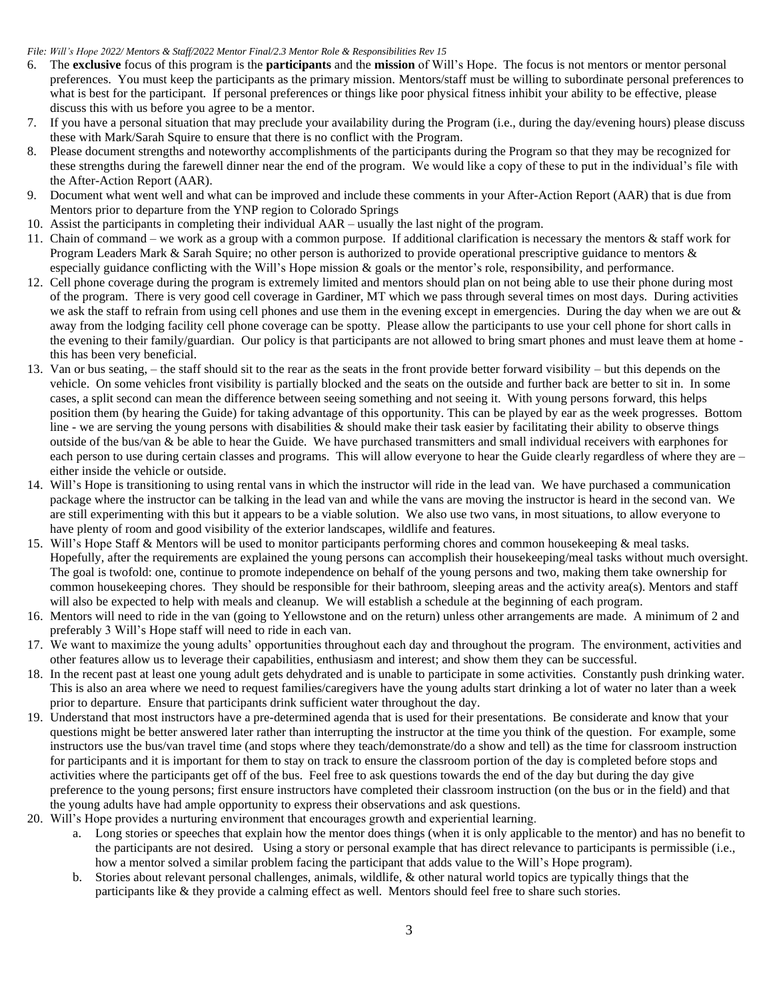- 6. The **exclusive** focus of this program is the **participants** and the **mission** of Will's Hope. The focus is not mentors or mentor personal preferences. You must keep the participants as the primary mission. Mentors/staff must be willing to subordinate personal preferences to what is best for the participant. If personal preferences or things like poor physical fitness inhibit your ability to be effective, please discuss this with us before you agree to be a mentor.
- 7. If you have a personal situation that may preclude your availability during the Program (i.e., during the day/evening hours) please discuss these with Mark/Sarah Squire to ensure that there is no conflict with the Program.
- 8. Please document strengths and noteworthy accomplishments of the participants during the Program so that they may be recognized for these strengths during the farewell dinner near the end of the program. We would like a copy of these to put in the individual's file with the After-Action Report (AAR).
- 9. Document what went well and what can be improved and include these comments in your After-Action Report (AAR) that is due from Mentors prior to departure from the YNP region to Colorado Springs
- 10. Assist the participants in completing their individual AAR usually the last night of the program.
- 11. Chain of command we work as a group with a common purpose. If additional clarification is necessary the mentors & staff work for Program Leaders Mark & Sarah Squire; no other person is authorized to provide operational prescriptive guidance to mentors & especially guidance conflicting with the Will's Hope mission & goals or the mentor's role, responsibility, and performance.
- 12. Cell phone coverage during the program is extremely limited and mentors should plan on not being able to use their phone during most of the program. There is very good cell coverage in Gardiner, MT which we pass through several times on most days. During activities we ask the staff to refrain from using cell phones and use them in the evening except in emergencies. During the day when we are out & away from the lodging facility cell phone coverage can be spotty. Please allow the participants to use your cell phone for short calls in the evening to their family/guardian. Our policy is that participants are not allowed to bring smart phones and must leave them at home this has been very beneficial.
- 13. Van or bus seating, the staff should sit to the rear as the seats in the front provide better forward visibility but this depends on the vehicle. On some vehicles front visibility is partially blocked and the seats on the outside and further back are better to sit in. In some cases, a split second can mean the difference between seeing something and not seeing it. With young persons forward, this helps position them (by hearing the Guide) for taking advantage of this opportunity. This can be played by ear as the week progresses. Bottom line - we are serving the young persons with disabilities & should make their task easier by facilitating their ability to observe things outside of the bus/van & be able to hear the Guide. We have purchased transmitters and small individual receivers with earphones for each person to use during certain classes and programs. This will allow everyone to hear the Guide clearly regardless of where they are – either inside the vehicle or outside.
- 14. Will's Hope is transitioning to using rental vans in which the instructor will ride in the lead van. We have purchased a communication package where the instructor can be talking in the lead van and while the vans are moving the instructor is heard in the second van. We are still experimenting with this but it appears to be a viable solution. We also use two vans, in most situations, to allow everyone to have plenty of room and good visibility of the exterior landscapes, wildlife and features.
- 15. Will's Hope Staff & Mentors will be used to monitor participants performing chores and common housekeeping & meal tasks. Hopefully, after the requirements are explained the young persons can accomplish their housekeeping/meal tasks without much oversight. The goal is twofold: one, continue to promote independence on behalf of the young persons and two, making them take ownership for common housekeeping chores. They should be responsible for their bathroom, sleeping areas and the activity area(s). Mentors and staff will also be expected to help with meals and cleanup. We will establish a schedule at the beginning of each program.
- 16. Mentors will need to ride in the van (going to Yellowstone and on the return) unless other arrangements are made. A minimum of 2 and preferably 3 Will's Hope staff will need to ride in each van.
- 17. We want to maximize the young adults' opportunities throughout each day and throughout the program. The environment, activities and other features allow us to leverage their capabilities, enthusiasm and interest; and show them they can be successful.
- 18. In the recent past at least one young adult gets dehydrated and is unable to participate in some activities. Constantly push drinking water. This is also an area where we need to request families/caregivers have the young adults start drinking a lot of water no later than a week prior to departure. Ensure that participants drink sufficient water throughout the day.
- 19. Understand that most instructors have a pre-determined agenda that is used for their presentations. Be considerate and know that your questions might be better answered later rather than interrupting the instructor at the time you think of the question. For example, some instructors use the bus/van travel time (and stops where they teach/demonstrate/do a show and tell) as the time for classroom instruction for participants and it is important for them to stay on track to ensure the classroom portion of the day is completed before stops and activities where the participants get off of the bus. Feel free to ask questions towards the end of the day but during the day give preference to the young persons; first ensure instructors have completed their classroom instruction (on the bus or in the field) and that the young adults have had ample opportunity to express their observations and ask questions.
- 20. Will's Hope provides a nurturing environment that encourages growth and experiential learning.
	- a. Long stories or speeches that explain how the mentor does things (when it is only applicable to the mentor) and has no benefit to the participants are not desired. Using a story or personal example that has direct relevance to participants is permissible (i.e., how a mentor solved a similar problem facing the participant that adds value to the Will's Hope program).
	- b. Stories about relevant personal challenges, animals, wildlife, & other natural world topics are typically things that the participants like & they provide a calming effect as well. Mentors should feel free to share such stories.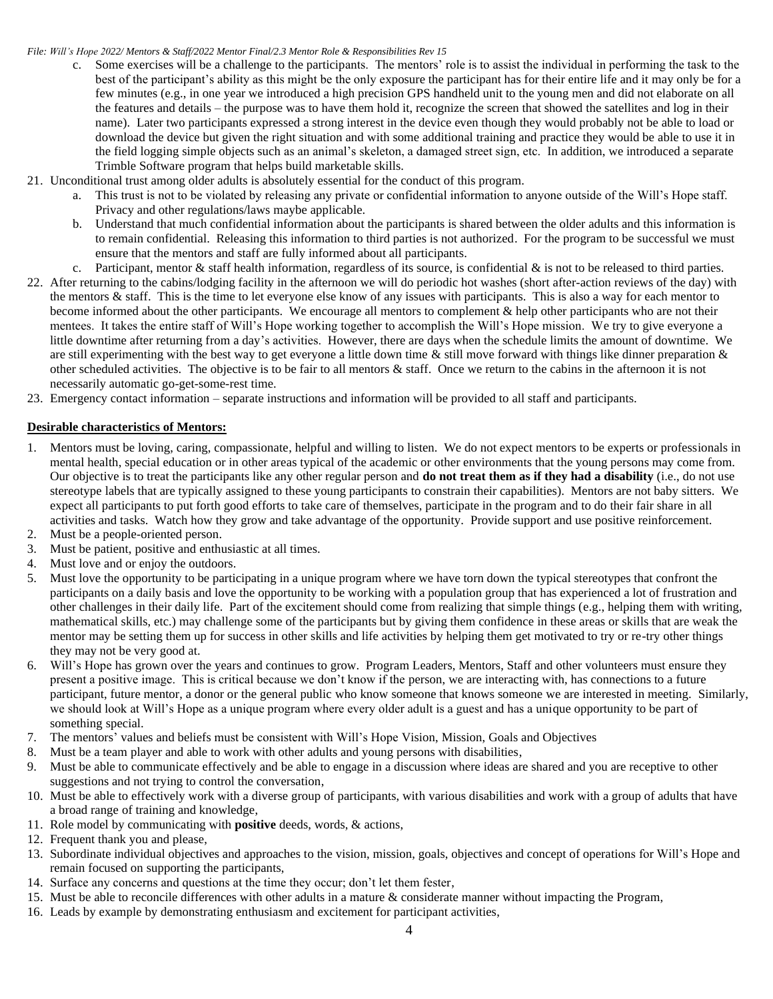- c. Some exercises will be a challenge to the participants. The mentors' role is to assist the individual in performing the task to the best of the participant's ability as this might be the only exposure the participant has for their entire life and it may only be for a few minutes (e.g., in one year we introduced a high precision GPS handheld unit to the young men and did not elaborate on all the features and details – the purpose was to have them hold it, recognize the screen that showed the satellites and log in their name). Later two participants expressed a strong interest in the device even though they would probably not be able to load or download the device but given the right situation and with some additional training and practice they would be able to use it in the field logging simple objects such as an animal's skeleton, a damaged street sign, etc. In addition, we introduced a separate Trimble Software program that helps build marketable skills.
- 21. Unconditional trust among older adults is absolutely essential for the conduct of this program.
	- a. This trust is not to be violated by releasing any private or confidential information to anyone outside of the Will's Hope staff. Privacy and other regulations/laws maybe applicable.
	- b. Understand that much confidential information about the participants is shared between the older adults and this information is to remain confidential. Releasing this information to third parties is not authorized. For the program to be successful we must ensure that the mentors and staff are fully informed about all participants.
	- c. Participant, mentor  $\&$  staff health information, regardless of its source, is confidential  $\&$  is not to be released to third parties.
- 22. After returning to the cabins/lodging facility in the afternoon we will do periodic hot washes (short after-action reviews of the day) with the mentors & staff. This is the time to let everyone else know of any issues with participants. This is also a way for each mentor to become informed about the other participants. We encourage all mentors to complement & help other participants who are not their mentees. It takes the entire staff of Will's Hope working together to accomplish the Will's Hope mission. We try to give everyone a little downtime after returning from a day's activities. However, there are days when the schedule limits the amount of downtime. We are still experimenting with the best way to get everyone a little down time  $\&$  still move forward with things like dinner preparation  $\&$ other scheduled activities. The objective is to be fair to all mentors  $\&$  staff. Once we return to the cabins in the afternoon it is not necessarily automatic go-get-some-rest time.
- 23. Emergency contact information separate instructions and information will be provided to all staff and participants.

# **Desirable characteristics of Mentors:**

- 1. Mentors must be loving, caring, compassionate, helpful and willing to listen. We do not expect mentors to be experts or professionals in mental health, special education or in other areas typical of the academic or other environments that the young persons may come from. Our objective is to treat the participants like any other regular person and **do not treat them as if they had a disability** (i.e., do not use stereotype labels that are typically assigned to these young participants to constrain their capabilities). Mentors are not baby sitters. We expect all participants to put forth good efforts to take care of themselves, participate in the program and to do their fair share in all activities and tasks. Watch how they grow and take advantage of the opportunity. Provide support and use positive reinforcement.
- 2. Must be a people-oriented person.
- 3. Must be patient, positive and enthusiastic at all times.
- 4. Must love and or enjoy the outdoors.
- 5. Must love the opportunity to be participating in a unique program where we have torn down the typical stereotypes that confront the participants on a daily basis and love the opportunity to be working with a population group that has experienced a lot of frustration and other challenges in their daily life. Part of the excitement should come from realizing that simple things (e.g., helping them with writing, mathematical skills, etc.) may challenge some of the participants but by giving them confidence in these areas or skills that are weak the mentor may be setting them up for success in other skills and life activities by helping them get motivated to try or re-try other things they may not be very good at.
- 6. Will's Hope has grown over the years and continues to grow. Program Leaders, Mentors, Staff and other volunteers must ensure they present a positive image. This is critical because we don't know if the person, we are interacting with, has connections to a future participant, future mentor, a donor or the general public who know someone that knows someone we are interested in meeting. Similarly, we should look at Will's Hope as a unique program where every older adult is a guest and has a unique opportunity to be part of something special.
- 7. The mentors' values and beliefs must be consistent with Will's Hope Vision, Mission, Goals and Objectives
- 8. Must be a team player and able to work with other adults and young persons with disabilities,
- 9. Must be able to communicate effectively and be able to engage in a discussion where ideas are shared and you are receptive to other suggestions and not trying to control the conversation,
- 10. Must be able to effectively work with a diverse group of participants, with various disabilities and work with a group of adults that have a broad range of training and knowledge,
- 11. Role model by communicating with **positive** deeds, words, & actions,
- 12. Frequent thank you and please,
- 13. Subordinate individual objectives and approaches to the vision, mission, goals, objectives and concept of operations for Will's Hope and remain focused on supporting the participants,
- 14. Surface any concerns and questions at the time they occur; don't let them fester,
- 15. Must be able to reconcile differences with other adults in a mature & considerate manner without impacting the Program,
- 16. Leads by example by demonstrating enthusiasm and excitement for participant activities,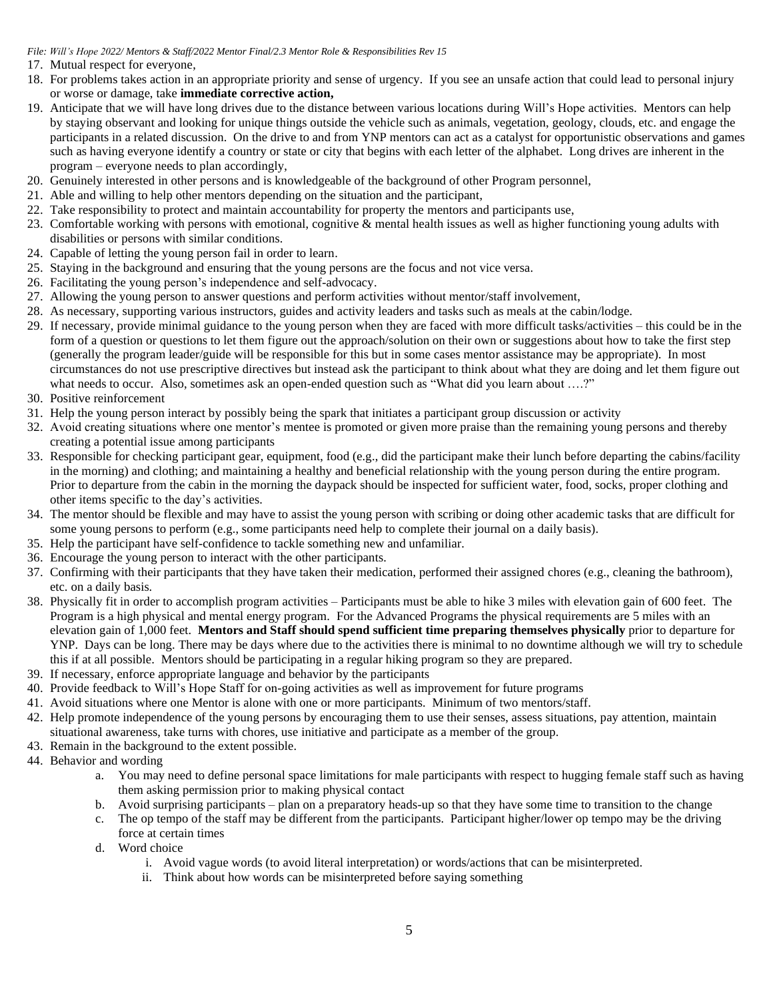- 17. Mutual respect for everyone,
- 18. For problems takes action in an appropriate priority and sense of urgency. If you see an unsafe action that could lead to personal injury or worse or damage, take **immediate corrective action,**
- 19. Anticipate that we will have long drives due to the distance between various locations during Will's Hope activities. Mentors can help by staying observant and looking for unique things outside the vehicle such as animals, vegetation, geology, clouds, etc. and engage the participants in a related discussion. On the drive to and from YNP mentors can act as a catalyst for opportunistic observations and games such as having everyone identify a country or state or city that begins with each letter of the alphabet. Long drives are inherent in the program – everyone needs to plan accordingly,
- 20. Genuinely interested in other persons and is knowledgeable of the background of other Program personnel,
- 21. Able and willing to help other mentors depending on the situation and the participant,
- 22. Take responsibility to protect and maintain accountability for property the mentors and participants use,
- 23. Comfortable working with persons with emotional, cognitive & mental health issues as well as higher functioning young adults with disabilities or persons with similar conditions.
- 24. Capable of letting the young person fail in order to learn.
- 25. Staying in the background and ensuring that the young persons are the focus and not vice versa.
- 26. Facilitating the young person's independence and self-advocacy.
- 27. Allowing the young person to answer questions and perform activities without mentor/staff involvement,
- 28. As necessary, supporting various instructors, guides and activity leaders and tasks such as meals at the cabin/lodge.
- 29. If necessary, provide minimal guidance to the young person when they are faced with more difficult tasks/activities this could be in the form of a question or questions to let them figure out the approach/solution on their own or suggestions about how to take the first step (generally the program leader/guide will be responsible for this but in some cases mentor assistance may be appropriate). In most circumstances do not use prescriptive directives but instead ask the participant to think about what they are doing and let them figure out what needs to occur. Also, sometimes ask an open-ended question such as "What did you learn about ….?"
- 30. Positive reinforcement
- 31. Help the young person interact by possibly being the spark that initiates a participant group discussion or activity
- 32. Avoid creating situations where one mentor's mentee is promoted or given more praise than the remaining young persons and thereby creating a potential issue among participants
- 33. Responsible for checking participant gear, equipment, food (e.g., did the participant make their lunch before departing the cabins/facility in the morning) and clothing; and maintaining a healthy and beneficial relationship with the young person during the entire program. Prior to departure from the cabin in the morning the daypack should be inspected for sufficient water, food, socks, proper clothing and other items specific to the day's activities.
- 34. The mentor should be flexible and may have to assist the young person with scribing or doing other academic tasks that are difficult for some young persons to perform (e.g., some participants need help to complete their journal on a daily basis).
- 35. Help the participant have self-confidence to tackle something new and unfamiliar.
- 36. Encourage the young person to interact with the other participants.
- 37. Confirming with their participants that they have taken their medication, performed their assigned chores (e.g., cleaning the bathroom), etc. on a daily basis.
- 38. Physically fit in order to accomplish program activities Participants must be able to hike 3 miles with elevation gain of 600 feet. The Program is a high physical and mental energy program. For the Advanced Programs the physical requirements are 5 miles with an elevation gain of 1,000 feet. **Mentors and Staff should spend sufficient time preparing themselves physically** prior to departure for YNP. Days can be long. There may be days where due to the activities there is minimal to no downtime although we will try to schedule this if at all possible. Mentors should be participating in a regular hiking program so they are prepared.
- 39. If necessary, enforce appropriate language and behavior by the participants
- 40. Provide feedback to Will's Hope Staff for on-going activities as well as improvement for future programs
- 41. Avoid situations where one Mentor is alone with one or more participants. Minimum of two mentors/staff.
- 42. Help promote independence of the young persons by encouraging them to use their senses, assess situations, pay attention, maintain situational awareness, take turns with chores, use initiative and participate as a member of the group.
- 43. Remain in the background to the extent possible.
- 44. Behavior and wording
	- a. You may need to define personal space limitations for male participants with respect to hugging female staff such as having them asking permission prior to making physical contact
	- b. Avoid surprising participants plan on a preparatory heads-up so that they have some time to transition to the change
	- c. The op tempo of the staff may be different from the participants. Participant higher/lower op tempo may be the driving force at certain times
	- d. Word choice
		- i. Avoid vague words (to avoid literal interpretation) or words/actions that can be misinterpreted.
		- ii. Think about how words can be misinterpreted before saying something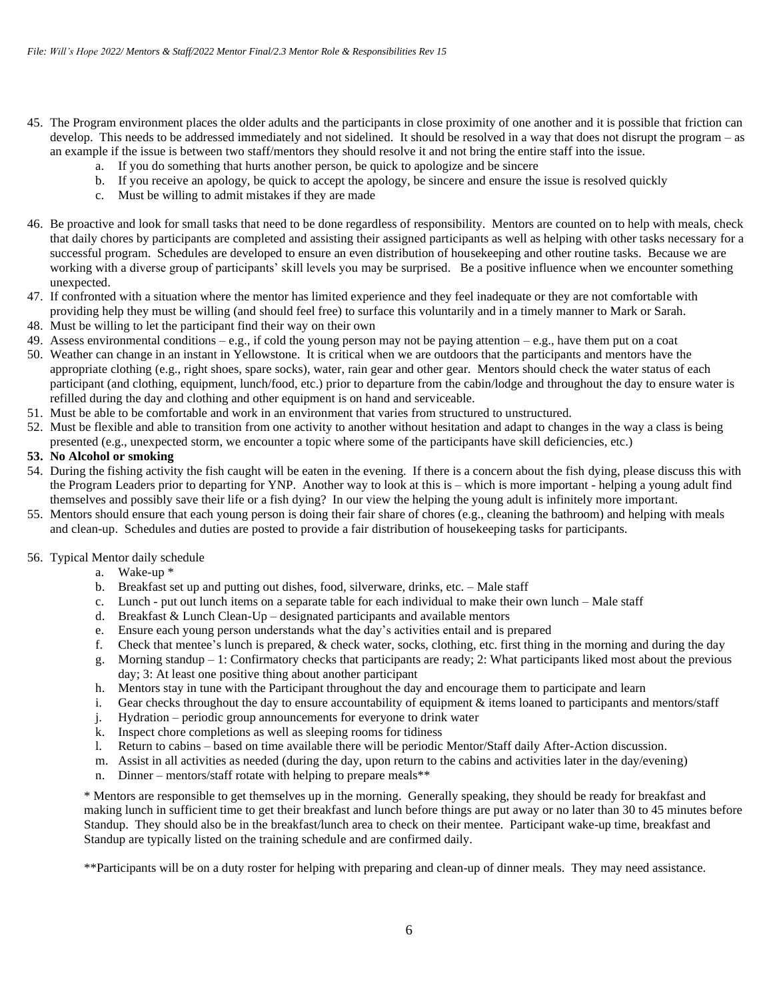- 45. The Program environment places the older adults and the participants in close proximity of one another and it is possible that friction can develop. This needs to be addressed immediately and not sidelined. It should be resolved in a way that does not disrupt the program – as an example if the issue is between two staff/mentors they should resolve it and not bring the entire staff into the issue.
	- a. If you do something that hurts another person, be quick to apologize and be sincere
	- b. If you receive an apology, be quick to accept the apology, be sincere and ensure the issue is resolved quickly
	- c. Must be willing to admit mistakes if they are made
- 46. Be proactive and look for small tasks that need to be done regardless of responsibility. Mentors are counted on to help with meals, check that daily chores by participants are completed and assisting their assigned participants as well as helping with other tasks necessary for a successful program. Schedules are developed to ensure an even distribution of housekeeping and other routine tasks. Because we are working with a diverse group of participants' skill levels you may be surprised. Be a positive influence when we encounter something unexpected.
- 47. If confronted with a situation where the mentor has limited experience and they feel inadequate or they are not comfortable with providing help they must be willing (and should feel free) to surface this voluntarily and in a timely manner to Mark or Sarah.
- 48. Must be willing to let the participant find their way on their own
- 49. Assess environmental conditions e.g., if cold the young person may not be paying attention e.g., have them put on a coat
- 50. Weather can change in an instant in Yellowstone. It is critical when we are outdoors that the participants and mentors have the appropriate clothing (e.g., right shoes, spare socks), water, rain gear and other gear. Mentors should check the water status of each participant (and clothing, equipment, lunch/food, etc.) prior to departure from the cabin/lodge and throughout the day to ensure water is refilled during the day and clothing and other equipment is on hand and serviceable.
- 51. Must be able to be comfortable and work in an environment that varies from structured to unstructured.
- 52. Must be flexible and able to transition from one activity to another without hesitation and adapt to changes in the way a class is being presented (e.g., unexpected storm, we encounter a topic where some of the participants have skill deficiencies, etc.)

## **53. No Alcohol or smoking**

- 54. During the fishing activity the fish caught will be eaten in the evening. If there is a concern about the fish dying, please discuss this with the Program Leaders prior to departing for YNP. Another way to look at this is – which is more important - helping a young adult find themselves and possibly save their life or a fish dying? In our view the helping the young adult is infinitely more important.
- 55. Mentors should ensure that each young person is doing their fair share of chores (e.g., cleaning the bathroom) and helping with meals and clean-up. Schedules and duties are posted to provide a fair distribution of housekeeping tasks for participants.

#### 56. Typical Mentor daily schedule

- a. Wake-up \*
- b. Breakfast set up and putting out dishes, food, silverware, drinks, etc. Male staff
- c. Lunch put out lunch items on a separate table for each individual to make their own lunch Male staff
- d. Breakfast & Lunch Clean-Up designated participants and available mentors
- 
- e. Ensure each young person understands what the day's activities entail and is prepared f. Check that mentee's lunch is prepared, & check water, socks, clothing, etc. first thing f. Check that mentee's lunch is prepared, & check water, socks, clothing, etc. first thing in the morning and during the day
- g. Morning standup  $-1$ : Confirmatory checks that participants are ready; 2: What participants liked most about the previous day; 3: At least one positive thing about another participant
- h. Mentors stay in tune with the Participant throughout the day and encourage them to participate and learn
- i. Gear checks throughout the day to ensure accountability of equipment  $\&$  items loaned to participants and mentors/staff
- j. Hydration periodic group announcements for everyone to drink water
- k. Inspect chore completions as well as sleeping rooms for tidiness
- l. Return to cabins based on time available there will be periodic Mentor/Staff daily After-Action discussion.
- m. Assist in all activities as needed (during the day, upon return to the cabins and activities later in the day/evening)
- n. Dinner mentors/staff rotate with helping to prepare meals\*\*

\* Mentors are responsible to get themselves up in the morning. Generally speaking, they should be ready for breakfast and making lunch in sufficient time to get their breakfast and lunch before things are put away or no later than 30 to 45 minutes before Standup. They should also be in the breakfast/lunch area to check on their mentee. Participant wake-up time, breakfast and Standup are typically listed on the training schedule and are confirmed daily.

\*\*Participants will be on a duty roster for helping with preparing and clean-up of dinner meals. They may need assistance.